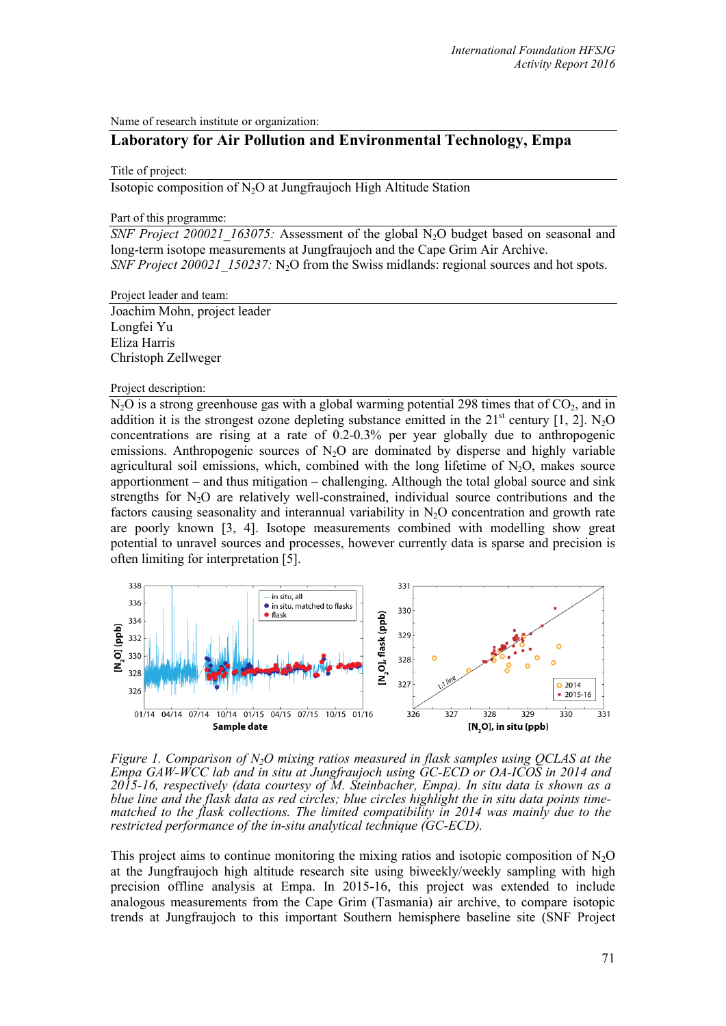Name of research institute or organization:

# **Laboratory for Air Pollution and Environmental Technology, Empa**

## Title of project:

Isotopic composition of N2O at Jungfraujoch High Altitude Station

### Part of this programme:

*SNF Project 200021 163075:* Assessment of the global N<sub>2</sub>O budget based on seasonal and [long-term isotope measurements at Jungfraujoch and the Cape Grim Air Archive.](https://www.mysnf.ch/grant.aspx?id=21ef4402-5b5b-44af-acec-9ce7f0078f1c) *SNF Project 200021\_150237:* N<sub>2</sub>O from the Swiss midlands: regional sources and hot spots.

Project leader and team:

Joachim Mohn, project leader Longfei Yu Eliza Harris Christoph Zellweger

#### Project description:

 $N<sub>2</sub>O$  is a strong greenhouse gas with a global warming potential 298 times that of  $CO<sub>2</sub>$ , and in addition it is the strongest ozone depleting substance emitted in the  $21<sup>st</sup>$  century [1, 2]. N<sub>2</sub>O concentrations are rising at a rate of 0.2-0.3% per year globally due to anthropogenic emissions. Anthropogenic sources of  $N<sub>2</sub>O$  are dominated by disperse and highly variable agricultural soil emissions, which, combined with the long lifetime of  $N_2O$ , makes source apportionment – and thus mitigation – challenging. Although the total global source and sink strengths for  $N_2O$  are relatively well-constrained, individual source contributions and the factors causing seasonality and interannual variability in  $N_2O$  concentration and growth rate are poorly known [3, 4]. Isotope measurements combined with modelling show great potential to unravel sources and processes, however currently data is sparse and precision is often limiting for interpretation [5].



*Figure 1. Comparison of N2O mixing ratios measured in flask samples using QCLAS at the Empa GAW-WCC lab and in situ at Jungfraujoch using GC-ECD or OA-ICOS in 2014 and 2015-16, respectively (data courtesy of M. Steinbacher, Empa). In situ data is shown as a matched to the flask collections. The limited compatibility in 2014 was mainly due to the restricted performance of the in-situ analytical technique (GC-ECD).*

This project aims to continue monitoring the mixing ratios and isotopic composition of  $N_2O$ at the Jungfraujoch high altitude research site using biweekly/weekly sampling with high precision offline analysis at Empa. In 2015-16, this project was extended to include analogous measurements from the Cape Grim (Tasmania) air archive, to compare isotopic trends at Jungfraujoch to this important Southern hemisphere baseline site (SNF Project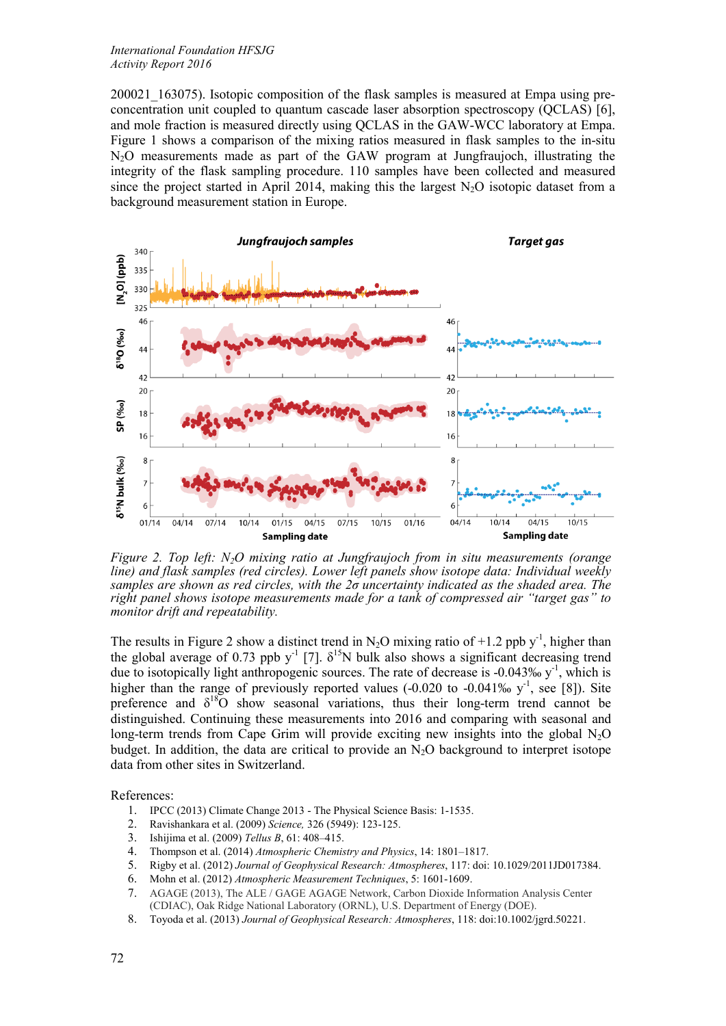## *International Foundation HFSJG Activity Report 2016*

200021\_163075). Isotopic composition of the flask samples is measured at Empa using preconcentration unit coupled to quantum cascade laser absorption spectroscopy (QCLAS) [6], and mole fraction is measured directly using QCLAS in the GAW-WCC laboratory at Empa. Figure 1 shows a comparison of the mixing ratios measured in flask samples to the in-situ N2O measurements made as part of the GAW program at Jungfraujoch, illustrating the integrity of the flask sampling procedure. 110 samples have been collected and measured since the project started in April 2014, making this the largest  $N_2O$  isotopic dataset from a background measurement station in Europe.



*Figure 2. Top left: N2O mixing ratio at Jungfraujoch from in situ measurements (orange line) and flask samples (red circles). Lower left panels show isotope data: Individual weekly samples are shown as red circles, with the 2σ uncertainty indicated as the shaded area. The right panel shows isotope measurements made for a tank of compressed air "target gas" to monitor drift and repeatability.*

The results in Figure 2 show a distinct trend in N<sub>2</sub>O mixing ratio of +1.2 ppb  $y^{-1}$ , higher than the global average of 0.73 ppb y<sup>-1</sup> [7].  $\delta^{15}N$  bulk also shows a significant decreasing trend due to isotopically light anthropogenic sources. The rate of decrease is -0.043‰  $y<sup>-1</sup>$ , which is higher than the range of previously reported values  $(-0.020 \text{ to } -0.041\% \text{ s})^1$ , see [8]). Site preference and  $\delta^{18}$ O show seasonal variations, thus their long-term trend cannot be distinguished. Continuing these measurements into 2016 and comparing with seasonal and long-term trends from Cape Grim will provide exciting new insights into the global  $N_2O$ budget. In addition, the data are critical to provide an  $N<sub>2</sub>O$  background to interpret isotope data from other sites in Switzerland.

References:

- 1. IPCC (2013) Climate Change 2013 The Physical Science Basis: 1-1535.
- 2. Ravishankara et al. (2009) *Science,* 326 (5949): 123-125.
- 3. Ishijima et al. (2009) *Tellus B*, 61: 408–415.
- 4. Thompson et al. (2014) *Atmospheric Chemistry and Physics*, 14: 1801–1817.
- 5. Rigby et al. (2012) *Journal of Geophysical Research: Atmospheres*, 117: doi: 10.1029/2011JD017384.
- 6. Mohn et al. (2012) *Atmospheric Measurement Techniques*, 5: 1601-1609.
- 7. AGAGE (2013), The ALE / GAGE AGAGE Network, Carbon Dioxide Information Analysis Center (CDIAC), Oak Ridge National Laboratory (ORNL), U.S. Department of Energy (DOE).
- 8. Toyoda et al. (2013) *Journal of Geophysical Research: Atmospheres*, 118: doi:10.1002/jgrd.50221.